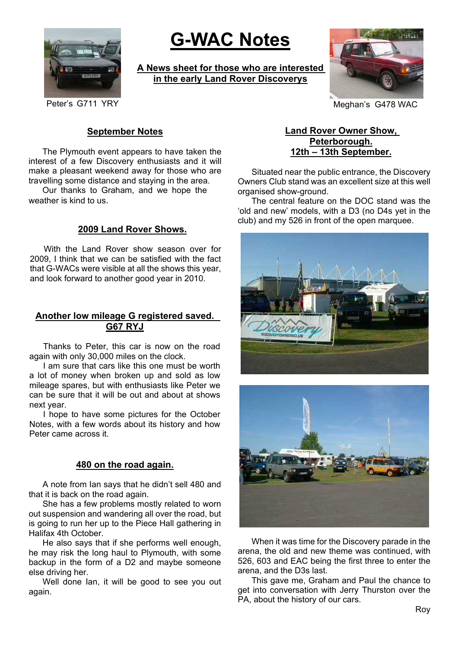

# **G-WAC Notes**

**A News sheet for those who are interested in the early Land Rover Discoverys**



Peter's G711 YRY **Meghan's G478 WAC** 

### **September Notes**

The Plymouth event appears to have taken the interest of a few Discovery enthusiasts and it will make a pleasant weekend away for those who are travelling some distance and staying in the area.

Our thanks to Graham, and we hope the weather is kind to us.

## **2009 Land Rover Shows.**

With the Land Rover show season over for 2009, I think that we can be satisfied with the fact that G-WACs were visible at all the shows this year, and look forward to another good year in 2010.

## **Another low mileage G registered saved. G67 RYJ**

Thanks to Peter, this car is now on the road again with only 30,000 miles on the clock.

I am sure that cars like this one must be worth a lot of money when broken up and sold as low mileage spares, but with enthusiasts like Peter we can be sure that it will be out and about at shows next year.

I hope to have some pictures for the October Notes, with a few words about its history and how Peter came across it.

### **480 on the road again.**

A note from Ian says that he didn't sell 480 and that it is back on the road again.

She has a few problems mostly related to worn out suspension and wandering all over the road, but is going to run her up to the Piece Hall gathering in Halifax 4th October.

He also says that if she performs well enough, he may risk the long haul to Plymouth, with some backup in the form of a D2 and maybe someone else driving her.

Well done Ian, it will be good to see you out again.

## **Land Rover Owner Show, Peterborough. 12th – 13th September.**

Situated near the public entrance, the Discovery Owners Club stand was an excellent size at this well organised show-ground.

The central feature on the DOC stand was the 'old and new' models, with a D3 (no D4s yet in the club) and my 526 in front of the open marquee.





When it was time for the Discovery parade in the arena, the old and new theme was continued, with 526, 603 and EAC being the first three to enter the arena, and the D3s last.

This gave me, Graham and Paul the chance to get into conversation with Jerry Thurston over the PA, about the history of our cars.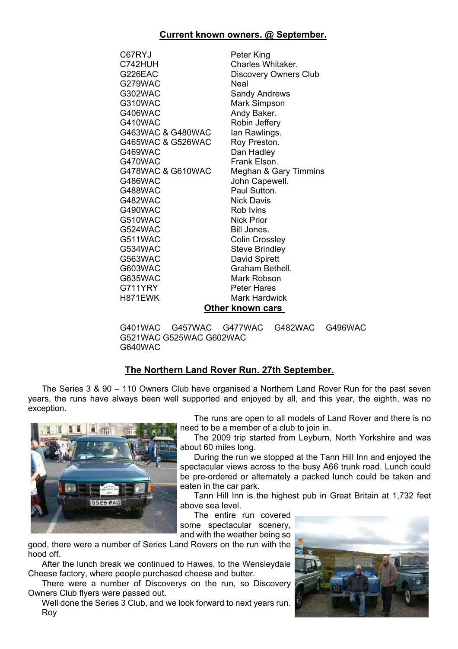### **Current known owners. @ September.**

| C67RYJ            | Peter King              |
|-------------------|-------------------------|
| C742HUH           | Charles Whitaker.       |
| G226EAC           | Discovery Owners Club   |
| G279WAC           | Neal                    |
| G302WAC           | Sandy Andrews           |
| G310WAC           | Mark Simpson            |
| <b>G406WAC</b>    | Andy Baker.             |
| G410WAC           | Robin Jeffery           |
| G463WAC & G480WAC | lan Rawlings.           |
| G465WAC & G526WAC | Roy Preston.            |
| G469WAC           | Dan Hadley              |
| G470WAC           | Frank Elson.            |
| G478WAC & G610WAC | Meghan & Gary Timmins   |
| G486WAC           | John Capewell.          |
| G488WAC           | Paul Sutton.            |
| G482WAC           | Nick Davis              |
| G490WAC           | Rob Ivins               |
| G510WAC           | <b>Nick Prior</b>       |
| G524WAC           | Bill Jones.             |
| G511WAC           | <b>Colin Crossley</b>   |
| G534WAC           | <b>Steve Brindley</b>   |
| G563WAC           | David Spirett           |
| G603WAC           | Graham Bethell.         |
| G635WAC           | Mark Robson             |
| G711YRY           | <b>Peter Hares</b>      |
| H871EWK           | Mark Hardwick           |
|                   | <b>Other known cars</b> |

G401WAC G457WAC G477WAC G482WAC G496WAC G521WAC G525WAC G602WAC G640WAC

## **The Northern Land Rover Run. 27th September.**

The Series 3 & 90 – 110 Owners Club have organised a Northern Land Rover Run for the past seven years, the runs have always been well supported and enjoyed by all, and this year, the eighth, was no exception.



The runs are open to all models of Land Rover and there is no need to be a member of a club to join in.

The 2009 trip started from Leyburn, North Yorkshire and was about 60 miles long.

During the run we stopped at the Tann Hill Inn and enjoyed the spectacular views across to the busy A66 trunk road. Lunch could be pre-ordered or alternately a packed lunch could be taken and eaten in the car park.

Tann Hill Inn is the highest pub in Great Britain at 1,732 feet above sea level.

The entire run covered some spectacular scenery, and with the weather being so

good, there were a number of Series Land Rovers on the run with the hood off.

After the lunch break we continued to Hawes, to the Wensleydale Cheese factory, where people purchased cheese and butter.

There were a number of Discoverys on the run, so Discovery Owners Club flyers were passed out.

Well done the Series 3 Club, and we look forward to next years run. Roy